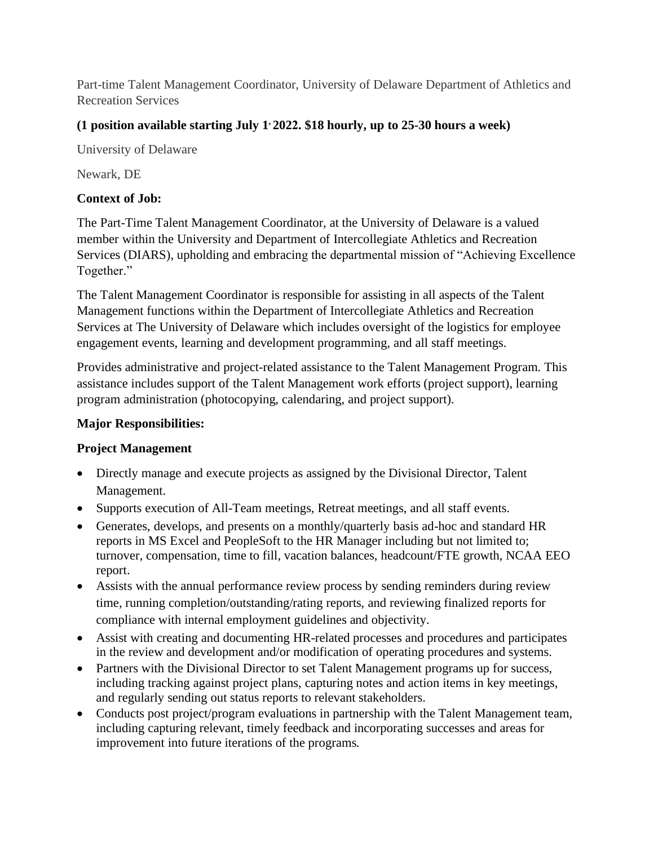Part-time Talent Management Coordinator, University of Delaware Department of Athletics and Recreation Services

# **(1 position available starting July 1, 2022. \$18 hourly, up to 25-30 hours a week)**

University of Delaware

Newark, DE

## **Context of Job:**

The Part-Time Talent Management Coordinator, at the University of Delaware is a valued member within the University and Department of Intercollegiate Athletics and Recreation Services (DIARS), upholding and embracing the departmental mission of "Achieving Excellence Together."

The Talent Management Coordinator is responsible for assisting in all aspects of the Talent Management functions within the Department of Intercollegiate Athletics and Recreation Services at The University of Delaware which includes oversight of the logistics for employee engagement events, learning and development programming, and all staff meetings.

Provides administrative and project-related assistance to the Talent Management Program. This assistance includes support of the Talent Management work efforts (project support), learning program administration (photocopying, calendaring, and project support).

## **Major Responsibilities:**

# **Project Management**

- Directly manage and execute projects as assigned by the Divisional Director, Talent Management.
- Supports execution of All-Team meetings, Retreat meetings, and all staff events.
- Generates, develops, and presents on a monthly/quarterly basis ad-hoc and standard HR reports in MS Excel and PeopleSoft to the HR Manager including but not limited to; turnover, compensation, time to fill, vacation balances, headcount/FTE growth, NCAA EEO report.
- Assists with the annual performance review process by sending reminders during review time, running completion/outstanding/rating reports, and reviewing finalized reports for compliance with internal employment guidelines and objectivity.
- Assist with creating and documenting HR-related processes and procedures and participates in the review and development and/or modification of operating procedures and systems.
- Partners with the Divisional Director to set Talent Management programs up for success, including tracking against project plans, capturing notes and action items in key meetings, and regularly sending out status reports to relevant stakeholders.
- Conducts post project/program evaluations in partnership with the Talent Management team, including capturing relevant, timely feedback and incorporating successes and areas for improvement into future iterations of the programs.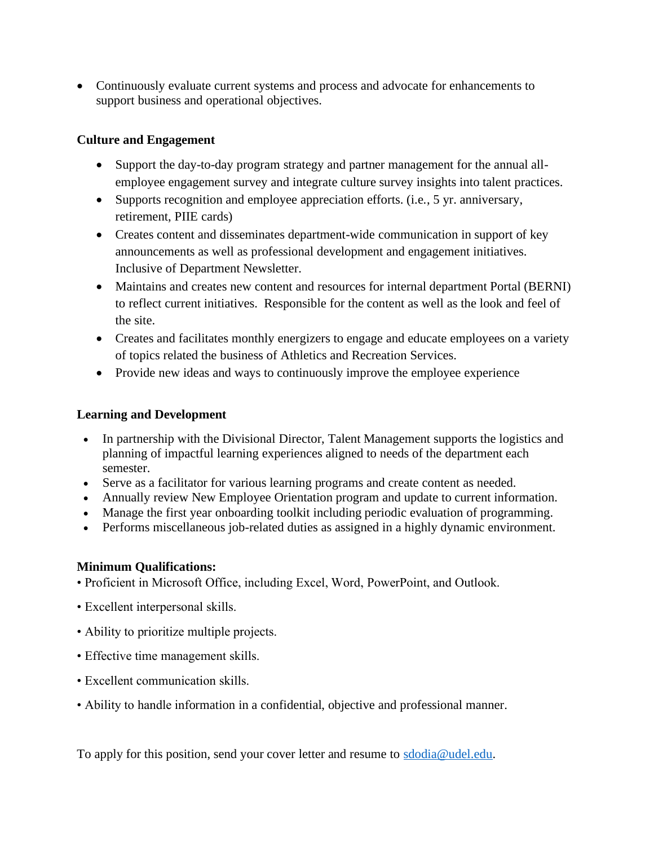• Continuously evaluate current systems and process and advocate for enhancements to support business and operational objectives.

### **Culture and Engagement**

- Support the day-to-day program strategy and partner management for the annual allemployee engagement survey and integrate culture survey insights into talent practices.
- Supports recognition and employee appreciation efforts. (i.e., 5 yr. anniversary, retirement, PIIE cards)
- Creates content and disseminates department-wide communication in support of key announcements as well as professional development and engagement initiatives. Inclusive of Department Newsletter.
- Maintains and creates new content and resources for internal department Portal (BERNI) to reflect current initiatives. Responsible for the content as well as the look and feel of the site.
- Creates and facilitates monthly energizers to engage and educate employees on a variety of topics related the business of Athletics and Recreation Services.
- Provide new ideas and ways to continuously improve the employee experience

#### **Learning and Development**

- In partnership with the Divisional Director, Talent Management supports the logistics and planning of impactful learning experiences aligned to needs of the department each semester.
- Serve as a facilitator for various learning programs and create content as needed.
- Annually review New Employee Orientation program and update to current information.
- Manage the first year onboarding toolkit including periodic evaluation of programming.
- Performs miscellaneous job-related duties as assigned in a highly dynamic environment.

#### **Minimum Qualifications:**

- Proficient in Microsoft Office, including Excel, Word, PowerPoint, and Outlook.
- Excellent interpersonal skills.
- Ability to prioritize multiple projects.
- Effective time management skills.
- Excellent communication skills.
- Ability to handle information in a confidential, objective and professional manner.

To apply for this position, send your cover letter and resume to [sdodia@udel.edu.](mailto:sdodia@udel.edu)